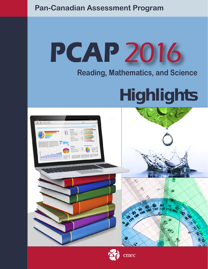# **Pan-Canadian Assessment Program**

# **PCAP** 2016

# **Reading, Mathematics, and Science**

# **Highlights**



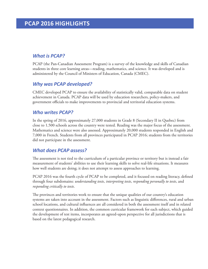# *What is PCAP?*

PCAP (the Pan-Canadian Assessment Program) is a survey of the knowledge and skills of Canadian students in three core learning areas—reading, mathematics, and science. It was developed and is administered by the Council of Ministers of Education, Canada (CMEC).

# *Why was PCAP developed?*

CMEC developed PCAP to ensure the availability of statistically valid, comparable data on student achievement in Canada. PCAP data will be used by education researchers, policy-makers, and government officials to make improvements to provincial and territorial education systems.

# *Who writes PCAP?*

In the spring of 2016, approximately 27,000 students in Grade 8 (Secondary II in Quebec) from close to 1,500 schools across the country were tested. Reading was the major focus of the assessment. Mathematics and science were also assessed. Approximately 20,000 students responded in English and 7,000 in French. Students from all provinces participated in PCAP 2016; students from the territories did not participate in the assessment.

# *What does PCAP assess?*

The assessment is not tied to the curriculum of a particular province or territory but is instead a fair measurement of students' abilities to use their learning skills to solve real-life situations. It measures how well students are doing; it does not attempt to assess approaches to learning.

PCAP 2016 was the fourth cycle of PCAP to be completed, and it focused on reading literacy, defined through four subdomains: *understanding texts*, *interpreting texts*, *responding personally to texts*, and *responding critically to texts*.

The provinces and territories work to ensure that the unique qualities of our country's education systems are taken into account in the assessment. Factors such as linguistic differences, rural and urban school locations, and cultural influences are all considered in both the assessment itself and in related context questionnaires. In addition, the common curricular framework for each subject, which guided the development of test items, incorporates an agreed-upon perspective for all jurisdictions that is based on the latest pedagogical research.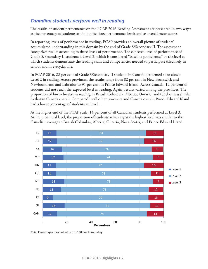# *Canadian students perform well in reading*

The results of student performance on the PCAP 2016 Reading Assessment are presented in two ways: as the percentage of students attaining the three performance levels and as overall mean scores.

In reporting levels of performance in reading, PCAP provides an overall picture of students' accumulated understanding in this domain by the end of Grade 8/Secondary II. The assessment categorizes results according to three levels of performance. The expected level of performance of Grade 8/Secondary II students is Level 2, which is considered "baseline proficiency," or the level at which students demonstrate the reading skills and competencies needed to participate effectively in school and in everyday life.

In PCAP 2016, 88 per cent of Grade 8/Secondary II students in Canada performed at or above Level 2 in reading. Across provinces, the results range from 82 per cent in New Brunswick and Newfoundland and Labrador to 91 per cent in Prince Edward Island. Across Canada, 12 per cent of students did not reach the expected level in reading. Again, results varied among the provinces. The proportion of low achievers in reading in British Columbia, Alberta, Ontario, and Quebec was similar to that in Canada overall. Compared to all other provinces and Canada overall, Prince Edward Island had a lower percentage of students at Level 1.

At the higher end of the PCAP scale, 14 per cent of all Canadian students performed at Level 3. At the provincial level, the proportion of students achieving at the highest level was similar to the Canadian average in British Columbia, Alberta, Ontario, Nova Scotia, and Prince Edward Island.



*Note*: Percentages may not add up to 100 due to rounding.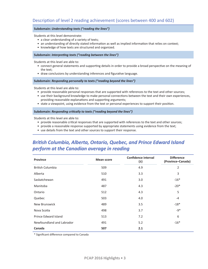# Description of level 2 reading achievement (scores between 400 and 602)

#### **Subdomain:** *Understanding texts ("reading the lines")*

Students at this level demonstrate:

- a clear understanding of a variety of texts;
- an understanding of directly stated information as well as implied information that relies on context;
- knowledge of how texts are structured and organized.

#### **Subdomain:** *Interpreting texts ("reading between the lines")*

Students at this level are able to:

- connect general statements and supporting details in order to provide a broad perspective on the meaning of the text;
- draw conclusions by understanding inferences and figurative language.

#### **Subdomain:** *Responding personally to texts ("reading beyond the lines")*

Students at this level are able to:

- provide reasonable personal responses that are supported with references to the text and other sources;
- use their background knowledge to make personal connections between the text and their own experiences, providing reasonable explanations and supporting arguments;
- state a viewpoint, using evidence from the text or personal experiences to support their position.

#### **Subdomain:** *Responding critically to texts ("reading beyond the lines")*

Students at this level are able to:

- provide reasonable critical responses that are supported with references to the text and other sources;
- provide a reasonable response supported by appropriate statements using evidence from the text;
- use details from the text and other sources to support their response.

# *British Columbia, Alberta, Ontario, Quebec, and Prince Edward Island perform at the Canadian average in reading*

| Province                  | <b>Mean score</b> | <b>Confidence interval</b><br>(±) | <b>Difference</b><br>(Province-Canada) |
|---------------------------|-------------------|-----------------------------------|----------------------------------------|
| <b>British Columbia</b>   | 509               | 4.9                               | 2                                      |
| Alberta                   | 510               | 3.3                               | 3                                      |
| Saskatchewan              | 491               | 3.0                               | $-16*$                                 |
| Manitoba                  | 487               | 4.3                               | $-20*$                                 |
| Ontario                   | 512               | 4.3                               | 5                                      |
| Quebec                    | 503               | 4.0                               | $-4$                                   |
| New Brunswick             | 489               | 3.5                               | $-18*$                                 |
| Nova Scotia               | 498               | 3.7                               | $-9*$                                  |
| Prince Edward Island      | 513               | 7.2                               | 6                                      |
| Newfoundland and Labrador | 491               | 5.2                               | $-16*$                                 |
| Canada                    | 507               | 2.1                               |                                        |

\* Significant difference compared to Canada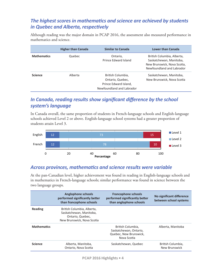# *The highest scores in mathematics and science are achieved by students in Quebec and Alberta, respectively*

Although reading was the major domain in PCAP 2016, the assessment also measured performance in mathematics and science.

|                    | <b>Higher than Canada</b> | <b>Similar to Canada</b>                                                                    | Lower than Canada                                                                                                 |
|--------------------|---------------------------|---------------------------------------------------------------------------------------------|-------------------------------------------------------------------------------------------------------------------|
| <b>Mathematics</b> | Quebec                    | Ontario,<br>Prince Edward Island                                                            | British Columbia, Alberta,<br>Saskatchewan, Manitoba,<br>New Brunswick, Nova Scotia,<br>Newfoundland and Labrador |
| <b>Science</b>     | Alberta                   | British Columbia,<br>Ontario, Quebec,<br>Prince Edward Island,<br>Newfoundland and Labrador | Saskatchewan, Manitoba,<br>New Brunswick, Nova Scotia                                                             |

# *In Canada, reading results show significant difference by the school system's language*

In Canada overall, the same proportion of students in French-language schools and English-language schools achieved Level 2 or above. English-language school systems had a greater proportion of students attain Level 3.



# *Across provinces, mathematics and science results were variable*

At the pan-Canadian level, higher achievement was found in reading in English-language schools and in mathematics in French-language schools; similar performance was found in science between the two language groups.

|                    | <b>Anglophone schools</b><br>performed significantly better<br>than francophone schools                 | <b>Francophone schools</b><br>performed significantly better<br>than anglophone schools | No significant difference<br>between school systems |
|--------------------|---------------------------------------------------------------------------------------------------------|-----------------------------------------------------------------------------------------|-----------------------------------------------------|
| Reading            | British Columbia, Alberta,<br>Saskatchewan, Manitoba,<br>Ontario, Quebec,<br>New Brunswick, Nova Scotia |                                                                                         |                                                     |
| <b>Mathematics</b> |                                                                                                         | British Columbia.<br>Saskatchewan, Ontario,<br>Quebec, New Brunswick,<br>Nova Scotia    | Alberta, Manitoba                                   |
| <b>Science</b>     | Alberta, Manitoba,<br>Ontario, Nova Scotia                                                              | Saskatchewan, Quebec                                                                    | British Columbia,<br>New Brunswick                  |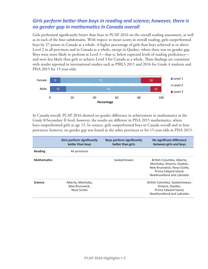# *Girls perform better than boys in reading and science; however, there is no gender gap in mathematics in Canada overall*

Girls performed significantly better than boys in PCAP 2016 on the overall reading assessment, as well as in each of the four subdomains. With respect to mean scores in overall reading, girls outperformed boys by 27 points in Canada as a whole. A higher percentage of girls than boys achieved at or above Level 2 in all provinces and in Canada as a whole, except in Quebec, where there was no gender gap. Boys were more likely to perform at Level 1—that is, below expected levels of reading proficiency and were less likely than girls to achieve Level 3 for Canada as a whole. These findings are consistent with results reported in international studies such as PIRLS 2011 and 2016 for Grade 4 students and PISA 2015 for 15-year-olds.



In Canada overall, PCAP 2016 showed no gender difference in achievement in mathematics at the Grade 8/Secondary II level; however, the results are different in PISA 2015 mathematics, where boys outperformed girls at age 15. In science, girls outperformed boys in Canada overall and in four provinces; however, no gender gap was found in the other provinces or for 15-year-olds in PISA 2015.

|                    | <b>Girls perform significantly</b><br>better than boys | <b>Boys perform significantly</b><br>better than girls | No significant difference<br>between girls and boys                                                                                           |
|--------------------|--------------------------------------------------------|--------------------------------------------------------|-----------------------------------------------------------------------------------------------------------------------------------------------|
| Reading            | All provinces                                          |                                                        |                                                                                                                                               |
| <b>Mathematics</b> |                                                        | Saskatchewan                                           | British Columbia, Alberta,<br>Manitoba, Ontario, Quebec,<br>New Brunswick, Nova Scotia,<br>Prince Edward Island.<br>Newfoundland and Labrador |
| <b>Science</b>     | Alberta, Manitoba,<br>New Brunswick.<br>Nova Scotia    |                                                        | British Columbia, Saskatchewan,<br>Ontario, Quebec,<br>Prince Edward Island,<br>Newfoundland and Labrador                                     |